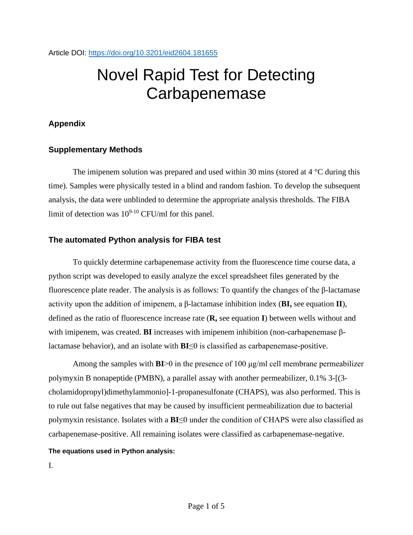# Novel Rapid Test for Detecting **Carbapenemase**

## **Appendix**

### **Supplementary Methods**

The imipenem solution was prepared and used within 30 mins (stored at  $4^{\circ}$ C during this time). Samples were physically tested in a blind and random fashion. To develop the subsequent analysis, the data were unblinded to determine the appropriate analysis thresholds. The FIBA limit of detection was  $10^{9-10}$  CFU/ml for this panel.

### **The automated Python analysis for FIBA test**

To quickly determine carbapenemase activity from the fluorescence time course data, a python script was developed to easily analyze the excel spreadsheet files generated by the fluorescence plate reader. The analysis is as follows: To quantify the changes of the β-lactamase activity upon the addition of imipenem, a β-lactamase inhibition index (**BI,** see equation **II**), defined as the ratio of fluorescence increase rate (**R,** see equation **I**) between wells without and with imipenem, was created. **BI** increases with imipenem inhibition (non-carbapenemase βlactamase behavior), and an isolate with **BI**≤0 is classified as carbapenemase-positive.

Among the samples with **BI**>0 in the presence of 100 μg/ml cell membrane permeabilizer polymyxin B nonapeptide (PMBN), a parallel assay with another permeabilizer, 0.1% 3-[(3 cholamidopropyl)dimethylammonio]-1-propanesulfonate (CHAPS), was also performed. This is to rule out false negatives that may be caused by insufficient permeabilization due to bacterial polymyxin resistance. Isolates with a **BI**≤0 under the condition of CHAPS were also classified as carbapenemase-positive. All remaining isolates were classified as carbapenemase-negative.

#### **The equations used in Python analysis:**

I.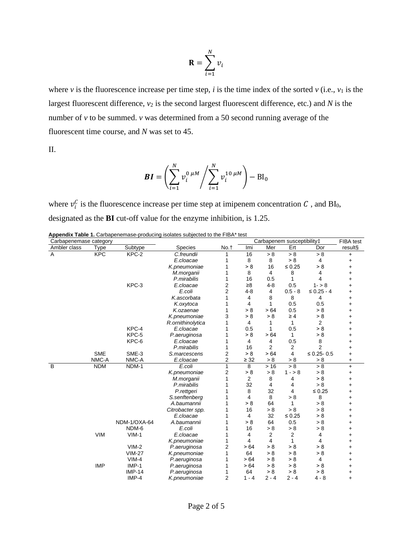$$
\mathbf{R} = \sum_{i=1}^{N} v_i
$$

where  $\nu$  is the fluorescence increase per time step,  $i$  is the time index of the sorted  $\nu$  (i.e.,  $\nu_1$  is the largest fluorescent difference,  $v_2$  is the second largest fluorescent difference, etc.) and  $N$  is the number of *v* to be summed. *v* was determined from a 50 second running average of the fluorescent time course, and *N* was set to 45.

II.

$$
BI = \left(\sum_{i=1}^{N} v_i^{0 \mu M} / \sum_{i=1}^{N} v_i^{10 \mu M}\right) - BI_0
$$

where  $v_i^C$  is the fluorescence increase per time step at imipenem concentration C, and BI<sub>0</sub>, designated as the **BI** cut-off value for the enzyme inhibition, is 1.25.

| Appendix Table 1. Carbapenemase-producing isolates subjected to the FIBA* test |  |  |
|--------------------------------------------------------------------------------|--|--|
|--------------------------------------------------------------------------------|--|--|

| Carbapenemase category |             |               |                   |                | Carbapenem susceptibility‡ |         |                |                 | FIBA test |
|------------------------|-------------|---------------|-------------------|----------------|----------------------------|---------|----------------|-----------------|-----------|
| Ambler class           | <b>Type</b> | Subtype       | <b>Species</b>    | No.t           | Imi                        | Mer     | Ert            | Dor             | result§   |
| A                      | <b>KPC</b>  | KPC-2         | C.freundii        |                | 16                         | > 8     | > 8            | > 8             | $\ddot{}$ |
|                        |             |               | E.cloacae         |                | 8                          | 8       | > 8            | 4               | +         |
|                        |             |               | K.pneumoniae      |                | > 8                        | 16      | $\leq 0.25$    | > 8             |           |
|                        |             |               | M.morganii        |                | 8                          | 4       | 8              | 4               | +         |
|                        |             |               | P.mirabilis       | 1              | 16                         | 0.5     | 1              | 4               |           |
|                        |             | KPC-3         | E.cloacae         | $\overline{2}$ | $\geq 8$                   | $4 - 8$ | 0.5            | $1 - 8$         | +         |
|                        |             |               | E.coli            | $\overline{2}$ | $4 - 8$                    | 4       | $0.5 - 8$      | $\leq 0.25 - 4$ | +         |
|                        |             |               | K.ascorbata       |                | 4                          | 8       | 8              | 4               | +         |
|                        |             |               | K.oxytoca         |                | 4                          | 1       | 0.5            | 0.5             | +         |
|                        |             |               | K.ozaenae         | 1              | > 8                        | >64     | 0.5            | > 8             | +         |
|                        |             |               | K.pneumoniae      | 3              | > 8                        | > 8     | $\geq 4$       | > 8             | +         |
|                        |             |               | R.ornithinolytica | 1              | 4                          | 1       | 1              | 2               | +         |
|                        |             | KPC-4         | E.cloacae         |                | 0.5                        | 1       | 0.5            | > 8             | +         |
|                        |             | KPC-5         | P.aeruginosa      |                | > 8                        | >64     | 1              | > 8             | +         |
|                        |             | KPC-6         | E.cloacae         |                | 4                          | 4       | 0.5            | 8               | +         |
|                        |             |               | P.mirabilis       | 1              | 16                         | 2       | 2              | $\overline{2}$  |           |
|                        | <b>SME</b>  | SME-3         | S.marcescens      | $\overline{2}$ | > 8                        | >64     | 4              | $≤ 0.25 - 0.5$  | +         |
|                        | NMC-A       | NMC-A         | E.cloacae         | 2              | $\geq 32$                  | > 8     | > 8            | > 8             | $\ddot{}$ |
| $\sf B$                | <b>NDM</b>  | NDM-1         | E.coli            | 1              | 8                          | >16     | > 8            | > 8             | $\ddot{}$ |
|                        |             |               | K.pneumoniae      | 2              | > 8                        | > 8     | $1 - 8$        | > 8             | $\ddot{}$ |
|                        |             |               | M.morganii        | 1              | 2                          | 8       | 4              | > 8             | +         |
|                        |             |               | P.mirabilis       |                | 32                         | 4       | 4              | > 8             |           |
|                        |             |               | P.rettgeri        |                | 8                          | 32      | 4              | $\leq 0.25$     |           |
|                        |             |               | S.senftenberg     |                | 4                          | 8       | > 8            | 8               |           |
|                        |             |               | A.baumannii       |                | > 8                        | 64      | 1              | > 8             |           |
|                        |             |               | Citrobacter spp.  |                | 16                         | > 8     | > 8            | > 8             |           |
|                        |             |               | E.cloacae         |                | 4                          | 32      | $\leq 0.25$    | > 8             |           |
|                        |             | NDM-1/OXA-64  | A.baumannii       |                | > 8                        | 64      | 0.5            | > 8             | +         |
|                        |             | NDM-6         | E.coli            |                | 16                         | > 8     | > 8            | > 8             | +         |
|                        | <b>VIM</b>  | $VIM-1$       | E.cloacae         | 1              | 4                          | 2       | $\overline{2}$ | 4               | +         |
|                        |             |               | K.pneumoniae      | 1              | 4                          | 4       | 1              | 4               | +         |
|                        |             | $VIM-2$       | P.aeruginosa      | 2              | > 64                       | > 8     | > 8            | > 8             | +         |
|                        |             | <b>VIM-27</b> | K.pneumoniae      | 1              | 64                         | > 8     | > 8            | > 8             | +         |
|                        |             | $VIM-4$       | P.aeruginosa      |                | > 64                       | > 8     | > 8            | 4               | $\ddot{}$ |
|                        | <b>IMP</b>  | IMP-1         | P.aeruginosa      |                | > 64                       | > 8     | > 8            | > 8             | +         |
|                        |             | $IMP-14$      | P.aeruginosa      |                | 64                         | > 8     | > 8            | > 8             | $\ddot{}$ |
|                        |             | IMP-4         | K.pneumoniae      | 2              | $1 - 4$                    | $2 - 4$ | $2 - 4$        | $4 - 8$         | $\ddot{}$ |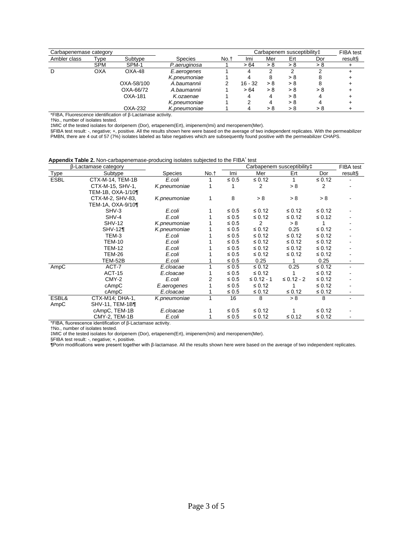| Carbapenemase category |            |                           |              |      | Carbapenem susceptibility‡ | FIBA test |     |     |         |
|------------------------|------------|---------------------------|--------------|------|----------------------------|-----------|-----|-----|---------|
| Ambler class           | Type       | Subtype<br><b>Species</b> |              | No.t | Imi                        | Mer       | Ert | Dor | result§ |
|                        | <b>SPM</b> | SPM-1                     | P.aeruginosa |      | >64                        | > 8       | > 8 | > 8 |         |
| D                      | <b>OXA</b> | OXA-48                    | E.aerogenes  |      |                            | າ         |     |     |         |
|                        |            |                           | K.pneumoniae |      |                            | 8         | > 8 | 8   |         |
|                        |            | OXA-58/100                | A.baumannii  |      | $16 - 32$                  | > 8       | > 8 | 8   |         |
|                        |            | OXA-66/72                 | A.baumannii  |      | >64                        | > 8       | > 8 | > 8 |         |
|                        |            | OXA-181                   | K.ozaenae    |      |                            | 4         | > 8 |     |         |
|                        |            |                           | K.pneumoniae |      |                            | 4         | > 8 | 4   |         |
|                        |            | OXA-232                   | K.pneumoniae |      |                            | > 8       | > 8 | > 8 |         |

\*FIBA, Fluorescence identification of β-Lactamase activity.

†No., number of isolates tested.

‡MIC of the tested isolates for doripenem (Dor), ertapenem(Ert), imipenem(Imi) and meropenem(Mer).

§FIBA test result: -, negative; +, positive. All the results shown here were based on the average of two independent replicates. With the permeabilizer PMBN, there are 4 out of 57 (7%) isolates labeled as false negatives which are subsequently found positive with the permeabilizer CHAPS.

|  | Appendix Table 2. Non-carbapenemase-producing isolates subjected to the FIBA <sup>*</sup> test |  |  |  |  |  |  |  |  |  |
|--|------------------------------------------------------------------------------------------------|--|--|--|--|--|--|--|--|--|
|--|------------------------------------------------------------------------------------------------|--|--|--|--|--|--|--|--|--|

|             | β-Lactamase category   |                |      |            | FIBA test       |                 |             |         |
|-------------|------------------------|----------------|------|------------|-----------------|-----------------|-------------|---------|
| Type        | Subtype                | <b>Species</b> | No.† | Imi        | Mer             | Ert             | Dor         | result§ |
| <b>ESBL</b> | CTX-M-14, TEM-1B       | E.coli         |      | $\leq 0.5$ | $\leq 0.12$     |                 | $\leq 0.12$ |         |
|             | CTX-M-15, SHV-1,       | K.pneumoniae   |      |            | 2               | > 8             | 2           |         |
|             | TEM-1B, OXA-1/10¶      |                |      |            |                 |                 |             |         |
|             | CTX-M-2, SHV-83,       | K.pneumoniae   | 1    | 8          | > 8             | > 8             | > 8         |         |
|             | TEM-1A, OXA-9/10¶      |                |      |            |                 |                 |             |         |
|             | SHV-3                  | E.coli         |      | $\leq 0.5$ | $\leq 0.12$     | $\leq 0.12$     | $\leq 0.12$ |         |
|             | SHV-4                  | E.coli         |      | $\leq 0.5$ | $\leq 0.12$     | $\leq 0.12$     | $\leq 0.12$ |         |
|             | <b>SHV-12</b>          | K.pneumoniae   |      | $\leq 0.5$ | 2               | > 8             |             |         |
|             | $SHV-12$               | K.pneumoniae   |      | $\leq 0.5$ | $\leq 0.12$     | 0.25            | $\leq 0.12$ |         |
|             | TEM-3                  | E.coli         |      | $\leq 0.5$ | $\leq 0.12$     | $\leq 0.12$     | $\leq 0.12$ |         |
|             | <b>TEM-10</b>          | E.coli         |      | $\leq 0.5$ | $\leq 0.12$     | $\leq 0.12$     | $\leq 0.12$ |         |
|             | <b>TEM-12</b>          | E.coli         |      | $\leq 0.5$ | $\leq 0.12$     | $\leq 0.12$     | $\leq 0.12$ |         |
|             | <b>TEM-26</b>          | E.coli         |      | $\leq 0.5$ | $\leq 0.12$     | $\leq 0.12$     | $\leq 0.12$ |         |
|             | TEM-52B                | E.coli         |      | $\leq 0.5$ | 0.25            |                 | 0.25        |         |
| AmpC        | ACT-7                  | E.cloacae      |      | $\leq 0.5$ | $\leq 0.12$     | 0.25            | $\leq 0.12$ |         |
|             | <b>ACT-15</b>          | E.cloacae      |      | $\leq 0.5$ | $\leq 0.12$     |                 | $\leq 0.12$ |         |
|             | CMY-2                  | E.coli         | 2    | $\leq 0.5$ | $\leq 0.12 - 1$ | $\leq 0.12 - 2$ | $\leq 0.12$ |         |
|             | cAmpC                  | E.aerogenes    |      | $\leq 0.5$ | $\leq 0.12$     |                 | $\leq 0.12$ |         |
|             | cAmpC                  | E.cloacae      |      | $\leq 0.5$ | $\leq 0.12$     | $\leq 0.12$     | $\leq 0.12$ |         |
| ESBL&       | CTX-M14; DHA-1,        | K.pneumoniae   |      | 16         | 8               | > 8             | 8           |         |
| AmpC        | $SHV-11$ , TEM-1B $\P$ |                |      |            |                 |                 |             |         |
|             | cAmpC, TEM-1B          | E.cloacae      |      | $\leq 0.5$ | $\leq 0.12$     |                 | $\leq 0.12$ |         |
|             | CMY-2, TEM-1B          | E.coli         |      | $\leq 0.5$ | $\leq 0.12$     | $\leq 0.12$     | $\leq 0.12$ |         |

\*FIBA, fluorescence identification of β-Lactamase activity.

†No., number of isolates tested.

‡MIC of the tested isolates for doripenem (Dor), ertapenem(Ert), imipenem(Imi) and meropenem(Mer).

§FIBA test result: -, negative; +, positive.

**¶**Porin modifications were present together with β-lactamase. All the results shown here were based on the average of two independent replicates.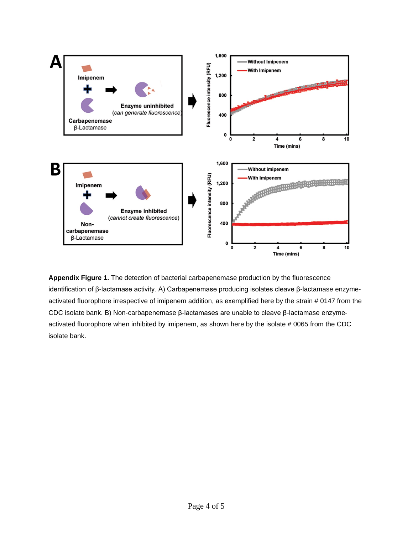

**Appendix Figure 1.** The detection of bacterial carbapenemase production by the fluorescence identification of β-lactamase activity. A) Carbapenemase producing isolates cleave β-lactamase enzymeactivated fluorophore irrespective of imipenem addition, as exemplified here by the strain # 0147 from the CDC isolate bank. B) Non-carbapenemase β-lactamases are unable to cleave β-lactamase enzymeactivated fluorophore when inhibited by imipenem, as shown here by the isolate # 0065 from the CDC isolate bank.